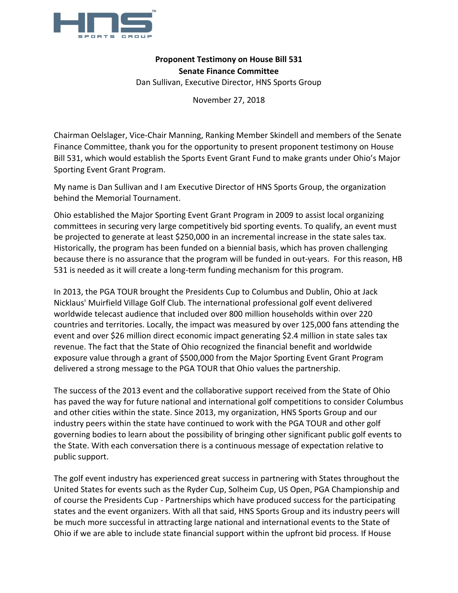

## **Proponent Testimony on House Bill 531 Senate Finance Committee**

Dan Sullivan, Executive Director, HNS Sports Group

November 27, 2018

Chairman Oelslager, Vice-Chair Manning, Ranking Member Skindell and members of the Senate Finance Committee, thank you for the opportunity to present proponent testimony on House Bill 531, which would establish the Sports Event Grant Fund to make grants under Ohio's Major Sporting Event Grant Program.

My name is Dan Sullivan and I am Executive Director of HNS Sports Group, the organization behind the Memorial Tournament.

Ohio established the Major Sporting Event Grant Program in 2009 to assist local organizing committees in securing very large competitively bid sporting events. To qualify, an event must be projected to generate at least \$250,000 in an incremental increase in the state sales tax. Historically, the program has been funded on a biennial basis, which has proven challenging because there is no assurance that the program will be funded in out-years. For this reason, HB 531 is needed as it will create a long-term funding mechanism for this program.

In 2013, the PGA TOUR brought the Presidents Cup to Columbus and Dublin, Ohio at Jack Nicklaus' Muirfield Village Golf Club. The international professional golf event delivered worldwide telecast audience that included over 800 million households within over 220 countries and territories. Locally, the impact was measured by over 125,000 fans attending the event and over \$26 million direct economic impact generating \$2.4 million in state sales tax revenue. The fact that the State of Ohio recognized the financial benefit and worldwide exposure value through a grant of \$500,000 from the Major Sporting Event Grant Program delivered a strong message to the PGA TOUR that Ohio values the partnership.

The success of the 2013 event and the collaborative support received from the State of Ohio has paved the way for future national and international golf competitions to consider Columbus and other cities within the state. Since 2013, my organization, HNS Sports Group and our industry peers within the state have continued to work with the PGA TOUR and other golf governing bodies to learn about the possibility of bringing other significant public golf events to the State. With each conversation there is a continuous message of expectation relative to public support.

The golf event industry has experienced great success in partnering with States throughout the United States for events such as the Ryder Cup, Solheim Cup, US Open, PGA Championship and of course the Presidents Cup - Partnerships which have produced success for the participating states and the event organizers. With all that said, HNS Sports Group and its industry peers will be much more successful in attracting large national and international events to the State of Ohio if we are able to include state financial support within the upfront bid process. If House